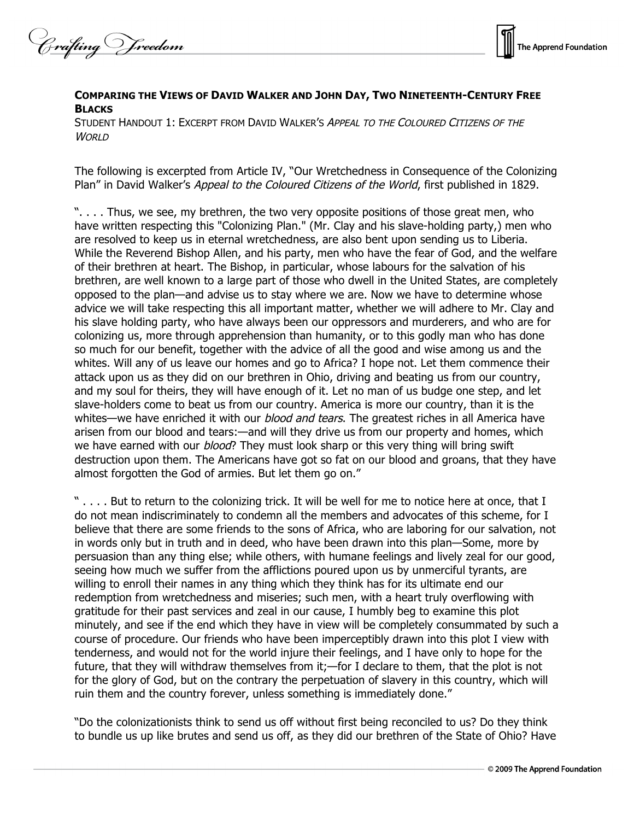Crafting V freedom



## **COMPARING THE VIEWS OF DAVID WALKER AND JOHN DAY, TWO NINETEENTH-CENTURY FREE BLACKS**

STUDENT HANDOUT 1: EXCERPT FROM DAVID WALKER'S APPEAL TO THE COLOURED CITIZENS OF THE WORLD

The following is excerpted from Article IV, "Our Wretchedness in Consequence of the Colonizing Plan" in David Walker's Appeal to the Coloured Citizens of the World, first published in 1829.

". . . . Thus, we see, my brethren, the two very opposite positions of those great men, who have written respecting this "Colonizing Plan." (Mr. Clay and his slave-holding party,) men who are resolved to keep us in eternal wretchedness, are also bent upon sending us to Liberia. While the Reverend Bishop Allen, and his party, men who have the fear of God, and the welfare of their brethren at heart. The Bishop, in particular, whose labours for the salvation of his brethren, are well known to a large part of those who dwell in the United States, are completely opposed to the plan—and advise us to stay where we are. Now we have to determine whose advice we will take respecting this all important matter, whether we will adhere to Mr. Clay and his slave holding party, who have always been our oppressors and murderers, and who are for colonizing us, more through apprehension than humanity, or to this godly man who has done so much for our benefit, together with the advice of all the good and wise among us and the whites. Will any of us leave our homes and go to Africa? I hope not. Let them commence their attack upon us as they did on our brethren in Ohio, driving and beating us from our country, and my soul for theirs, they will have enough of it. Let no man of us budge one step, and let slave-holders come to beat us from our country. America is more our country, than it is the whites—we have enriched it with our *blood and tears*. The greatest riches in all America have arisen from our blood and tears:—and will they drive us from our property and homes, which we have earned with our *blood*? They must look sharp or this very thing will bring swift destruction upon them. The Americans have got so fat on our blood and groans, that they have almost forgotten the God of armies. But let them go on."

" . . . . But to return to the colonizing trick. It will be well for me to notice here at once, that I do not mean indiscriminately to condemn all the members and advocates of this scheme, for I believe that there are some friends to the sons of Africa, who are laboring for our salvation, not in words only but in truth and in deed, who have been drawn into this plan—Some, more by persuasion than any thing else; while others, with humane feelings and lively zeal for our good, seeing how much we suffer from the afflictions poured upon us by unmerciful tyrants, are willing to enroll their names in any thing which they think has for its ultimate end our redemption from wretchedness and miseries; such men, with a heart truly overflowing with gratitude for their past services and zeal in our cause, I humbly beg to examine this plot minutely, and see if the end which they have in view will be completely consummated by such a course of procedure. Our friends who have been imperceptibly drawn into this plot I view with tenderness, and would not for the world injure their feelings, and I have only to hope for the future, that they will withdraw themselves from it;—for I declare to them, that the plot is not for the glory of God, but on the contrary the perpetuation of slavery in this country, which will ruin them and the country forever, unless something is immediately done."

"Do the colonizationists think to send us off without first being reconciled to us? Do they think to bundle us up like brutes and send us off, as they did our brethren of the State of Ohio? Have